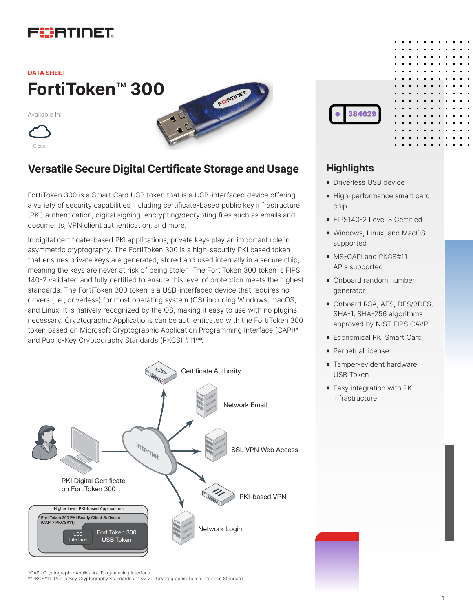# FURTIDET

## **FortiToken**™ **300 DATA SHEET**

Available in:





## **Versatile Secure Digital Certificate Storage and Usage**

FortiToken 300 is a Smart Card USB token that is a USB-interfaced device offering a variety of security capabilities including certificate-based public key infrastructure (PKI) authentication, digital signing, encrypting/decrypting files such as emails and documents, VPN client authentication, and more.

In digital certificate-based PKI applications, private keys play an important role in asymmetric cryptography. The FortiToken 300 is a high-security PKI based token that ensures private keys are generated, stored and used internally in a secure chip, meaning the keys are never at risk of being stolen. The FortiToken 300 token is FIPS 140-2 validated and fully certified to ensure this level of protection meets the highest standards. The FortiToken 300 token is a USB-interfaced device that requires no drivers (i.e., driverless) for most operating system (OS) including Windows, macOS, and Linux. It is natively recognized by the OS, making it easy to use with no plugins necessary. Cryptographic Applications can be authenticated with the FortiToken 300 token based on Microsoft Cryptographic Application Programming Interface (CAPI)\* and Public-Key Cryptography Standards (PKCS) #11\*\*.



### **Highlights**

- **n** Driverless USB device
- High-performance smart card chip
- **FIPS140-2 Level 3 Certified**
- **Nindows, Linux, and MacOS** supported
- $\blacksquare$  MS-CAPI and PKCS#11 APIs supported
- Onboard random number generator
- Onboard RSA, AES, DES/3DES, SHA-1, SHA-256 algorithms approved by NIST FIPS CAVP
- Economical PKI Smart Card
- **Perpetual license**
- **n** Tamper-evident hardware USB Token
- **Easy integration with PKI** infrastructure

\*CAPI: Cryptographic Application Programming Interface. \*\*PKCS#11: Public-Key Cryptography Standards #11 v2.20, Cryptographic Token Interface Standard.